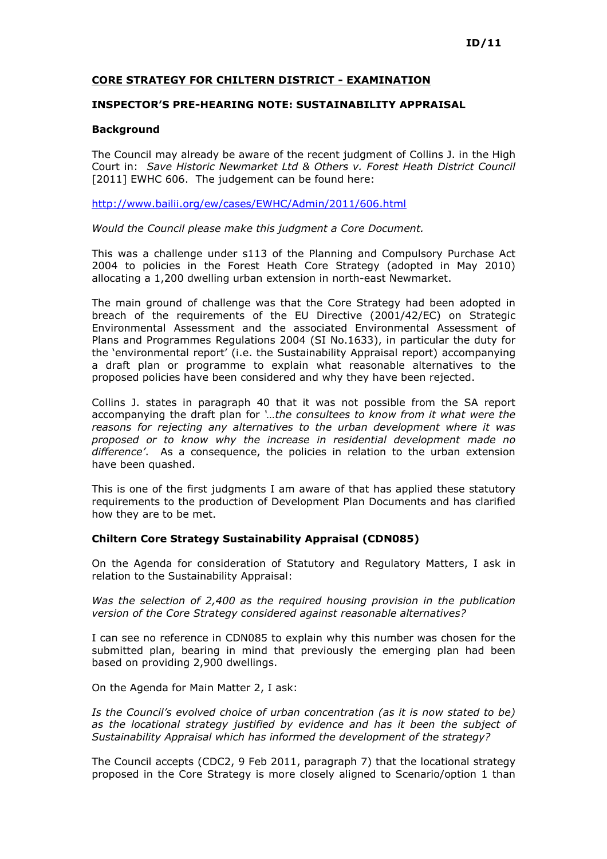## CORE STRATEGY FOR CHILTERN DISTRICT - EXAMINATION

## INSPECTOR'S PRE-HEARING NOTE: SUSTAINABILITY APPRAISAL

## **Background**

The Council may already be aware of the recent judgment of Collins J. in the High Court in: Save Historic Newmarket Ltd & Others v. Forest Heath District Council [2011] EWHC 606. The judgement can be found here:

http://www.bailii.org/ew/cases/EWHC/Admin/2011/606.html

Would the Council please make this judgment a Core Document.

This was a challenge under s113 of the Planning and Compulsory Purchase Act 2004 to policies in the Forest Heath Core Strategy (adopted in May 2010) allocating a 1,200 dwelling urban extension in north-east Newmarket.

The main ground of challenge was that the Core Strategy had been adopted in breach of the requirements of the EU Directive (2001/42/EC) on Strategic Environmental Assessment and the associated Environmental Assessment of Plans and Programmes Regulations 2004 (SI No.1633), in particular the duty for the 'environmental report' (i.e. the Sustainability Appraisal report) accompanying a draft plan or programme to explain what reasonable alternatives to the proposed policies have been considered and why they have been rejected.

Collins J. states in paragraph 40 that it was not possible from the SA report accompanying the draft plan for '…the consultees to know from it what were the reasons for rejecting any alternatives to the urban development where it was proposed or to know why the increase in residential development made no difference'. As a consequence, the policies in relation to the urban extension have been quashed.

This is one of the first judgments I am aware of that has applied these statutory requirements to the production of Development Plan Documents and has clarified how they are to be met.

## Chiltern Core Strategy Sustainability Appraisal (CDN085)

On the Agenda for consideration of Statutory and Regulatory Matters, I ask in relation to the Sustainability Appraisal:

Was the selection of 2,400 as the required housing provision in the publication version of the Core Strategy considered against reasonable alternatives?

I can see no reference in CDN085 to explain why this number was chosen for the submitted plan, bearing in mind that previously the emerging plan had been based on providing 2,900 dwellings.

On the Agenda for Main Matter 2, I ask:

Is the Council's evolved choice of urban concentration (as it is now stated to be) as the locational strategy justified by evidence and has it been the subject of Sustainability Appraisal which has informed the development of the strategy?

The Council accepts (CDC2, 9 Feb 2011, paragraph 7) that the locational strategy proposed in the Core Strategy is more closely aligned to Scenario/option 1 than